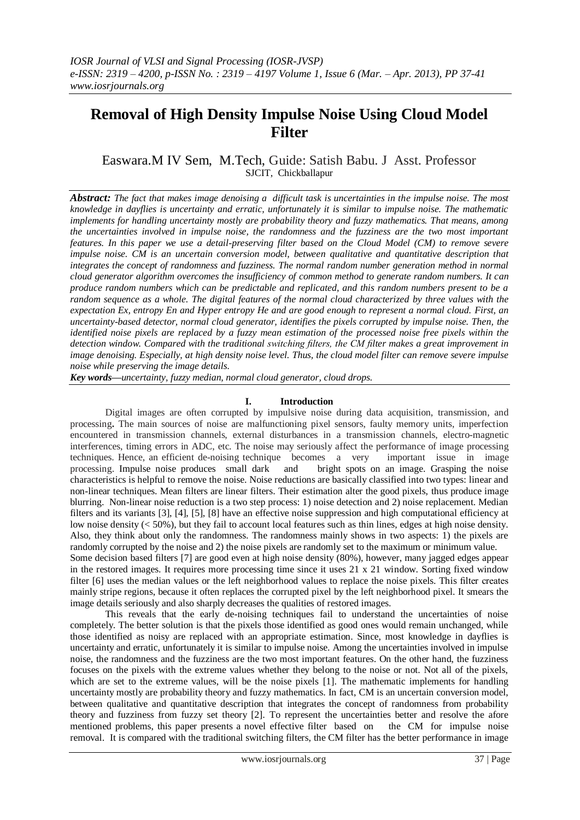# **Removal of High Density Impulse Noise Using Cloud Model Filter**

Easwara.M IV Sem, M.Tech, Guide: Satish Babu. J Asst. Professor SJCIT, Chickballapur

*Abstract: The fact that makes image denoising a difficult task is uncertainties in the impulse noise. The most knowledge in dayflies is uncertainty and erratic, unfortunately it is similar to impulse noise. The mathematic implements for handling uncertainty mostly are probability theory and fuzzy mathematics. That means, among the uncertainties involved in impulse noise, the randomness and the fuzziness are the two most important features. In this paper we use a detail-preserving filter based on the Cloud Model (CM) to remove severe impulse noise. CM is an uncertain conversion model, between qualitative and quantitative description that integrates the concept of randomness and fuzziness. The normal random number generation method in normal cloud generator algorithm overcomes the insufficiency of common method to generate random numbers. It can produce random numbers which can be predictable and replicated, and this random numbers present to be a random sequence as a whole. The digital features of the normal cloud characterized by three values with the expectation Ex, entropy En and Hyper entropy He and are good enough to represent a normal cloud. First, an uncertainty-based detector, normal cloud generator, identifies the pixels corrupted by impulse noise. Then, the identified noise pixels are replaced by a fuzzy mean estimation of the processed noise free pixels within the detection window. Compared with the traditional switching filters, the CM filter makes a great improvement in image denoising. Especially, at high density noise level. Thus, the cloud model filter can remove severe impulse noise while preserving the image details.* 

*Key words—uncertainty, fuzzy median, normal cloud generator, cloud drops.*

### **I. Introduction**

Digital images are often corrupted by impulsive noise during data acquisition, transmission, and processing**.** The main sources of noise are malfunctioning pixel sensors, faulty memory units, imperfection encountered in transmission channels, external disturbances in a transmission channels, electro-magnetic interferences, timing errors in ADC, etc. The noise may seriously affect the performance of image processing techniques. Hence, an efficient de-noising technique becomes a very important issue in image processing. Impulse noise produces small dark and bright spots on an image. Grasping the noise processing. Impulse noise produces small dark and characteristics is helpful to remove the noise. Noise reductions are basically classified into two types: linear and non-linear techniques. Mean filters are linear filters. Their estimation alter the good pixels, thus produce image blurring. Non-linear noise reduction is a two step process: 1) noise detection and 2) noise replacement. Median filters and its variants [3], [4], [5], [8] have an effective noise suppression and high computational efficiency at low noise density (< 50%), but they fail to account local features such as thin lines, edges at high noise density. Also, they think about only the randomness. The randomness mainly shows in two aspects: 1) the pixels are randomly corrupted by the noise and 2) the noise pixels are randomly set to the maximum or minimum value. Some decision based filters [7] are good even at high noise density (80%), however, many jagged edges appear in the restored images. It requires more processing time since it uses 21 x 21 window. Sorting fixed window filter [6] uses the median values or the left neighborhood values to replace the noise pixels. This filter creates

image details seriously and also sharply decreases the qualities of restored images. This reveals that the early de-noising techniques fail to understand the uncertainties of noise completely. The better solution is that the pixels those identified as good ones would remain unchanged, while those identified as noisy are replaced with an appropriate estimation. Since, most knowledge in dayflies is uncertainty and erratic, unfortunately it is similar to impulse noise. Among the uncertainties involved in impulse noise, the randomness and the fuzziness are the two most important features. On the other hand, the fuzziness focuses on the pixels with the extreme values whether they belong to the noise or not. Not all of the pixels, which are set to the extreme values, will be the noise pixels [1]. The mathematic implements for handling uncertainty mostly are probability theory and fuzzy mathematics. In fact, CM is an uncertain conversion model, between qualitative and quantitative description that integrates the concept of randomness from probability theory and fuzziness from fuzzy set theory [2]. To represent the uncertainties better and resolve the afore mentioned problems, this paper presents a novel effective filter based on the CM for impulse noise removal. It is compared with the traditional switching filters, the CM filter has the better performance in image

mainly stripe regions, because it often replaces the corrupted pixel by the left neighborhood pixel. It smears the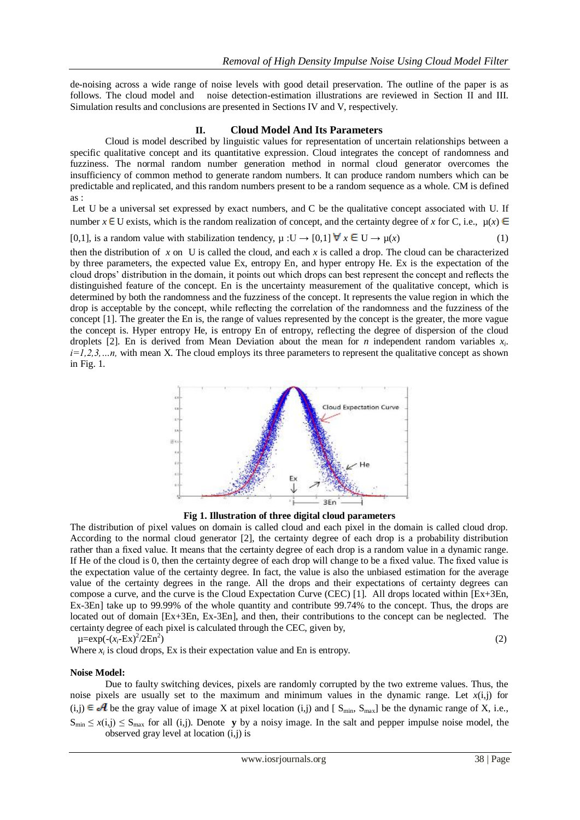de-noising across a wide range of noise levels with good detail preservation. The outline of the paper is as follows. The cloud model and noise detection-estimation illustrations are reviewed in Section II and III. Simulation results and conclusions are presented in Sections IV and V, respectively.

## **II. Cloud Model And Its Parameters**

Cloud is model described by linguistic values for representation of uncertain relationships between a specific qualitative concept and its quantitative expression. Cloud integrates the concept of randomness and fuzziness. The normal random number generation method in normal cloud generator overcomes the insufficiency of common method to generate random numbers. It can produce random numbers which can be predictable and replicated, and this random numbers present to be a random sequence as a whole. CM is defined as :

Let U be a universal set expressed by exact numbers, and C be the qualitative concept associated with U. If number  $x \in U$  exists, which is the random realization of concept, and the certainty degree of *x* for C, i.e.,  $\mu(x) \in$ 

[0,1], is a random value with stabilization tendency,  $\mu : U \to [0,1]$   $\forall x \in U \to \mu(x)$ 

then the distribution of *x* on U is called the cloud, and each *x* is called a drop. The cloud can be characterized by three parameters, the expected value Ex, entropy En, and hyper entropy He. Ex is the expectation of the cloud drops' distribution in the domain, it points out which drops can best represent the concept and reflects the distinguished feature of the concept. En is the uncertainty measurement of the qualitative concept, which is determined by both the randomness and the fuzziness of the concept. It represents the value region in which the drop is acceptable by the concept, while reflecting the correlation of the randomness and the fuzziness of the concept [1]. The greater the En is, the range of values represented by the concept is the greater, the more vague the concept is. Hyper entropy He, is entropy En of entropy, reflecting the degree of dispersion of the cloud droplets [2]. En is derived from Mean Deviation about the mean for *n* independent random variables  $x_i$ . *i=1,2,3,…n,* with mean X. The cloud employs its three parameters to represent the qualitative concept as shown in Fig. 1.



**Fig 1. Illustration of three digital cloud parameters**

The distribution of pixel values on domain is called cloud and each pixel in the domain is called cloud drop. According to the normal cloud generator [2], the certainty degree of each drop is a probability distribution rather than a fixed value. It means that the certainty degree of each drop is a random value in a dynamic range. If He of the cloud is 0, then the certainty degree of each drop will change to be a fixed value. The fixed value is the expectation value of the certainty degree. In fact, the value is also the unbiased estimation for the average value of the certainty degrees in the range. All the drops and their expectations of certainty degrees can compose a curve, and the curve is the Cloud Expectation Curve (CEC) [1]. All drops located within [Ex+3En, Ex-3En] take up to 99.99% of the whole quantity and contribute 99.74% to the concept. Thus, the drops are located out of domain [Ex+3En, Ex-3En], and then, their contributions to the concept can be neglected. The certainty degree of each pixel is calculated through the CEC, given by,  $)$  (2)

 $\mu = \exp(-(x_i - Ex)^2/2En^2)$ 

Where  $x_i$  is cloud drops, Ex is their expectation value and En is entropy.

## **Noise Model:**

Due to faulty switching devices, pixels are randomly corrupted by the two extreme values. Thus, the noise pixels are usually set to the maximum and minimum values in the dynamic range. Let  $x(i,j)$  for  $(i,j) \in \mathcal{A}$  be the gray value of image X at pixel location  $(i,j)$  and [  $S_{min}$ ,  $S_{max}$ ] be the dynamic range of X, i.e.,  $S_{\text{min}} \leq x(i,j) \leq S_{\text{max}}$  for all (i,j). Denote **y** by a noisy image. In the salt and pepper impulse noise model, the observed gray level at location (i,j) is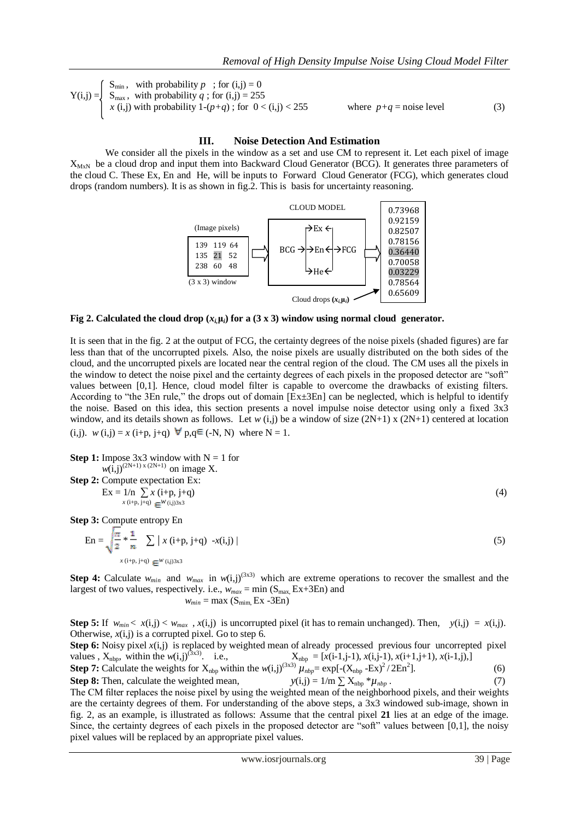$$
Y(i,j) = \begin{cases} S_{min}, & \text{with probability } p \text{ ; for } (i,j) = 0\\ S_{max}, & \text{with probability } q \text{ ; for } (i,j) = 255\\ x(i,j) \text{ with probability } 1 - (p+q) \text{ ; for } 0 < (i,j) < 255 \end{cases}
$$

 $5$  where  $p+q$  = noise level (3)

#### **III. Noise Detection And Estimation**

We consider all the pixels in the window as a set and use CM to represent it. Let each pixel of image  $X_{MxN}$  be a cloud drop and input them into Backward Cloud Generator (BCG). It generates three parameters of the cloud C. These Ex, En and He, will be inputs to Forward Cloud Generator (FCG), which generates cloud drops (random numbers). It is as shown in fig.2. This is basis for uncertainty reasoning.



**Fig 2. Calculated the cloud drop**  $(x_i, \mu_i)$  **for a (3 x 3) window using normal cloud generator.** 

It is seen that in the fig. 2 at the output of FCG, the certainty degrees of the noise pixels (shaded figures) are far less than that of the uncorrupted pixels. Also, the noise pixels are usually distributed on the both sides of the cloud, and the uncorrupted pixels are located near the central region of the cloud. The CM uses all the pixels in the window to detect the noise pixel and the certainty degrees of each pixels in the proposed detector are "soft" values between [0,1]. Hence, cloud model filter is capable to overcome the drawbacks of existing filters. According to "the 3En rule," the drops out of domain [Ex±3En] can be neglected, which is helpful to identify the noise. Based on this idea, this section presents a novel impulse noise detector using only a fixed 3x3 window, and its details shown as follows. Let *w* (i,j) be a window of size (2N+1) x (2N+1) centered at location (i,j). *w* (i,j) = *x* (i+p, j+q)  $\forall$  p,q $\in$  (-N, N) where N = 1.

**Step 1:** Impose  $3x3$  window with  $N = 1$  for  $w(i,j)^{(2N+1)x (2N+1)}$  on image X. **Step 2:** Compute expectation Ex:  $Ex = 1/n \sum x (i+p, j+q)$  (4)  $x(i+p, \overline{j+q}) \in W(i,j)3x3$ 

**Step 3:** Compute entropy En

$$
\text{En} = \sqrt{\frac{\pi}{2}} * \frac{1}{n} \sum |x(i+p, j+q) - x(i,j)|
$$
\n
$$
x(i+p, j+q) = w(i,j)3x^3
$$
\n(5)

**Step 4:** Calculate  $w_{min}$  and  $w_{max}$  in  $w(i,j)^{(3x3)}$  which are extreme operations to recover the smallest and the largest of two values, respectively. i.e.,  $w_{max} = \min(S_{max} E x + 3E n)$  and  $w_{min} = \max(S_{min}, Ex - 3En)$ 

**Step 5:** If  $w_{min} < x(i,j) < w_{max}$ ,  $x(i,j)$  is uncorrupted pixel (it has to remain unchanged). Then,  $y(i,j) = x(i,j)$ . Otherwise, *x*(i,j) is a corrupted pixel. Go to step 6.

**Step 6:** Noisy pixel *x*(i,j) is replaced by weighted mean of already processed previous four uncorrepted pixel values ,  $X_{\text{nbp}}$ , within the  $w(i,j)^{(3x3)}$ . i.e.,  $X_{\text{nbp}} = [x(i-1,i-1), x(i,i-1), x(i+1,i+1), x(i-1,i),]$ 

Step 7: Calculate the weights for 
$$
X_{\text{nbp}}
$$
 within the  $w(i,j)^{(3x3)} \mu_{\text{nbp}} = \exp[-(X_{\text{nbp}} - Ex)^2 / 2En^2]$ . (6)

**Step 8:** Then, calculate the weighted mean,  $y(i,j) = 1/m \sum X_{nbp} * \mu_{nbp}$ . (7)

The CM filter replaces the noise pixel by using the weighted mean of the neighborhood pixels, and their weights are the certainty degrees of them. For understanding of the above steps, a 3x3 windowed sub-image, shown in fig. 2, as an example, is illustrated as follows: Assume that the central pixel **21** lies at an edge of the image. Since, the certainty degrees of each pixels in the proposed detector are "soft" values between [0,1], the noisy pixel values will be replaced by an appropriate pixel values.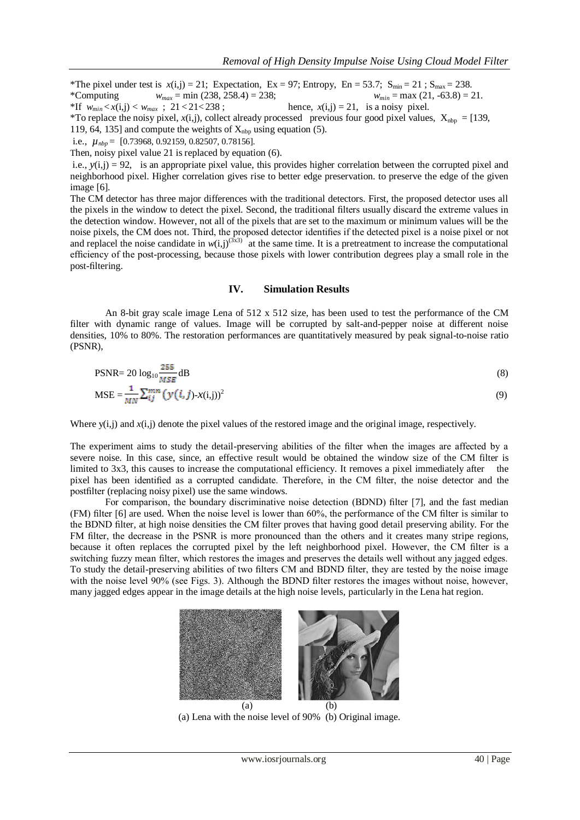\*The pixel under test is  $x(i,j) = 21$ ; Expectation, Ex = 97; Entropy, En = 53.7; S<sub>min</sub> = 21 ; S<sub>max</sub> = 238.<br>\*Computing  $w_{max} = \min (238, 258.4) = 238$ ;  $w_{min} = \max (21, -63.8) = 21$ . \*Computing  $w_{max} = \min(238, 258.4) = 238$ ; \*If  $w_{min} < x(i,j) < w_{max}$ ; 21 < 21 < 238; hence,  $x(i,j) = 21$ , is a noisy pixel.

\*To replace the noisy pixel,  $x(i,j)$ , collect already processed previous four good pixel values,  $X_{nbp} = [139,$ 119, 64, 135] and compute the weights of  $X_{\text{nbp}}$  using equation (5).

i.e., *µnbp* = [0.73968, 0.92159, 0.82507, 0.78156].

Then, noisy pixel value 21 is replaced by equation (6).

i.e., *y*(i,j) = 92, is an appropriate pixel value, this provides higher correlation between the corrupted pixel and neighborhood pixel. Higher correlation gives rise to better edge preservation. to preserve the edge of the given image [6].

The CM detector has three major differences with the traditional detectors. First, the proposed detector uses all the pixels in the window to detect the pixel. Second, the traditional filters usually discard the extreme values in the detection window. However, not all of the pixels that are set to the maximum or minimum values will be the noise pixels, the CM does not. Third, the proposed detector identifies if the detected pixel is a noise pixel or not and replacel the noise candidate in  $w(i,j)$ <sup>(3x3)</sup> at the same time. It is a pretreatment to increase the computational efficiency of the post-processing, because those pixels with lower contribution degrees play a small role in the post-filtering.

### **IV. Simulation Results**

An 8-bit gray scale image Lena of 512 x 512 size, has been used to test the performance of the CM filter with dynamic range of values. Image will be corrupted by salt-and-pepper noise at different noise densities, 10% to 80%. The restoration performances are quantitatively measured by peak signal-to-noise ratio (PSNR),

$$
\text{PSNR} = 20 \log_{10} \frac{255}{MSE} \, \text{dB} \tag{8}
$$
\n
$$
\text{MSE} = \frac{1}{MN} \sum_{ij}^{mn} \left( y(i, j) - x(i, j) \right)^2 \tag{9}
$$

Where y(i,j) and  $x(i,j)$  denote the pixel values of the restored image and the original image, respectively.

The experiment aims to study the detail-preserving abilities of the filter when the images are affected by a severe noise. In this case, since, an effective result would be obtained the window size of the CM filter is limited to 3x3, this causes to increase the computational efficiency. It removes a pixel immediately after the pixel has been identified as a corrupted candidate. Therefore, in the CM filter, the noise detector and the postfilter (replacing noisy pixel) use the same windows.

For comparison, the boundary discriminative noise detection (BDND) filter [7], and the fast median (FM) filter [6] are used. When the noise level is lower than 60%, the performance of the CM filter is similar to the BDND filter, at high noise densities the CM filter proves that having good detail preserving ability. For the FM filter, the decrease in the PSNR is more pronounced than the others and it creates many stripe regions, because it often replaces the corrupted pixel by the left neighborhood pixel. However, the CM filter is a switching fuzzy mean filter, which restores the images and preserves the details well without any jagged edges. To study the detail-preserving abilities of two filters CM and BDND filter, they are tested by the noise image with the noise level 90% (see Figs. 3). Although the BDND filter restores the images without noise, however, many jagged edges appear in the image details at the high noise levels, particularly in the Lena hat region.



(a) Lena with the noise level of 90% (b) Original image.